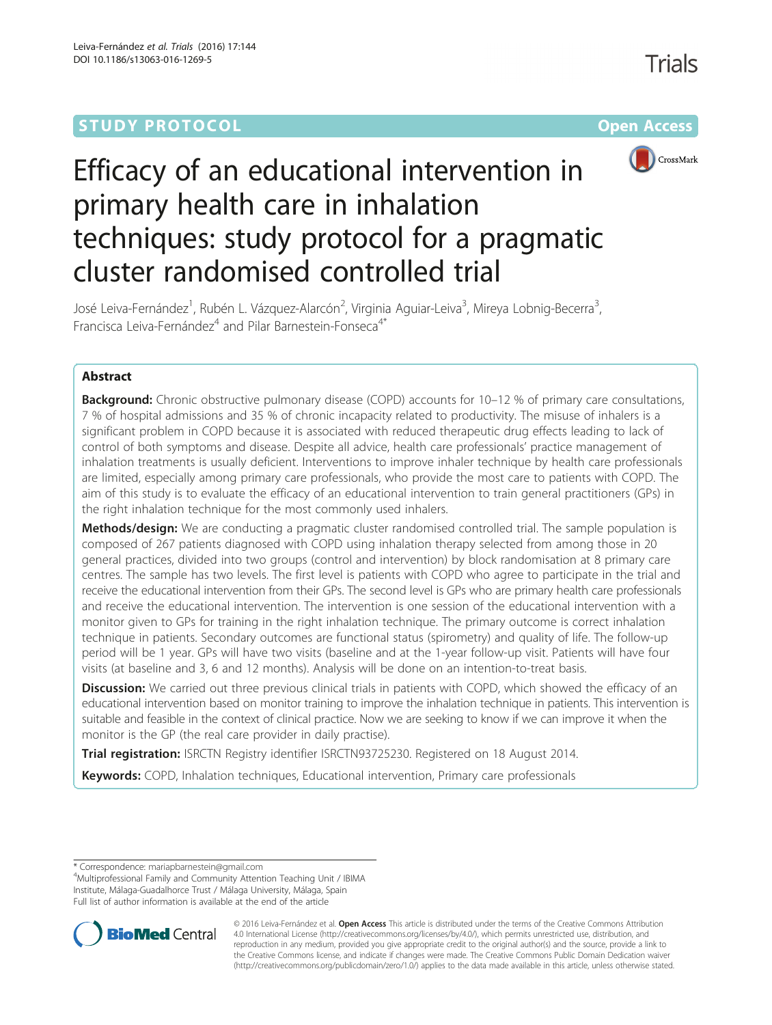## **STUDY PROTOCOL CONSUMING THE RESERVE ACCESS**



# Efficacy of an educational intervention in primary health care in inhalation techniques: study protocol for a pragmatic cluster randomised controlled trial

José Leiva-Fernández<sup>1</sup>, Rubén L. Vázquez-Alarcón<sup>2</sup>, Virginia Aguiar-Leiva<sup>3</sup>, Mireya Lobnig-Becerra<sup>3</sup> , Francisca Leiva-Fernández<sup>4</sup> and Pilar Barnestein-Fonseca<sup>4\*</sup>

## Abstract

**Background:** Chronic obstructive pulmonary disease (COPD) accounts for 10–12 % of primary care consultations, 7 % of hospital admissions and 35 % of chronic incapacity related to productivity. The misuse of inhalers is a significant problem in COPD because it is associated with reduced therapeutic drug effects leading to lack of control of both symptoms and disease. Despite all advice, health care professionals' practice management of inhalation treatments is usually deficient. Interventions to improve inhaler technique by health care professionals are limited, especially among primary care professionals, who provide the most care to patients with COPD. The aim of this study is to evaluate the efficacy of an educational intervention to train general practitioners (GPs) in the right inhalation technique for the most commonly used inhalers.

Methods/design: We are conducting a pragmatic cluster randomised controlled trial. The sample population is composed of 267 patients diagnosed with COPD using inhalation therapy selected from among those in 20 general practices, divided into two groups (control and intervention) by block randomisation at 8 primary care centres. The sample has two levels. The first level is patients with COPD who agree to participate in the trial and receive the educational intervention from their GPs. The second level is GPs who are primary health care professionals and receive the educational intervention. The intervention is one session of the educational intervention with a monitor given to GPs for training in the right inhalation technique. The primary outcome is correct inhalation technique in patients. Secondary outcomes are functional status (spirometry) and quality of life. The follow-up period will be 1 year. GPs will have two visits (baseline and at the 1-year follow-up visit. Patients will have four visits (at baseline and 3, 6 and 12 months). Analysis will be done on an intention-to-treat basis.

**Discussion:** We carried out three previous clinical trials in patients with COPD, which showed the efficacy of an educational intervention based on monitor training to improve the inhalation technique in patients. This intervention is suitable and feasible in the context of clinical practice. Now we are seeking to know if we can improve it when the monitor is the GP (the real care provider in daily practise).

Trial registration: ISRCTN Registry identifier [ISRCTN93725230.](http://www.isrctn.com/ISRCTN93725230?) Registered on 18 August 2014.

Keywords: COPD, Inhalation techniques, Educational intervention, Primary care professionals

\* Correspondence: [mariapbarnestein@gmail.com](mailto:mariapbarnestein@gmail.com) <sup>4</sup>

Multiprofessional Family and Community Attention Teaching Unit / IBIMA Institute, Málaga-Guadalhorce Trust / Málaga University, Málaga, Spain Full list of author information is available at the end of the article



© 2016 Leiva-Fernández et al. Open Access This article is distributed under the terms of the Creative Commons Attribution 4.0 International License ([http://creativecommons.org/licenses/by/4.0/\)](http://creativecommons.org/licenses/by/4.0/), which permits unrestricted use, distribution, and reproduction in any medium, provided you give appropriate credit to the original author(s) and the source, provide a link to the Creative Commons license, and indicate if changes were made. The Creative Commons Public Domain Dedication waiver [\(http://creativecommons.org/publicdomain/zero/1.0/](http://creativecommons.org/publicdomain/zero/1.0/)) applies to the data made available in this article, unless otherwise stated.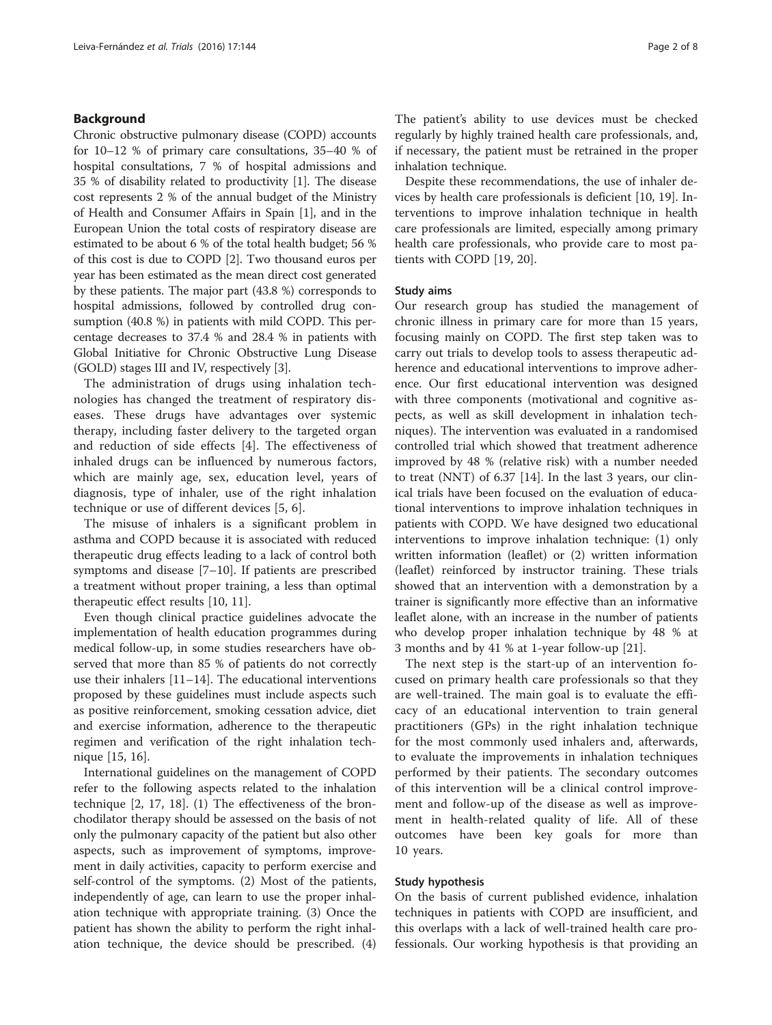#### Background

Chronic obstructive pulmonary disease (COPD) accounts for 10–12 % of primary care consultations, 35–40 % of hospital consultations, 7 % of hospital admissions and 35 % of disability related to productivity [\[1\]](#page-6-0). The disease cost represents 2 % of the annual budget of the Ministry of Health and Consumer Affairs in Spain [\[1\]](#page-6-0), and in the European Union the total costs of respiratory disease are estimated to be about 6 % of the total health budget; 56 % of this cost is due to COPD [\[2\]](#page-6-0). Two thousand euros per year has been estimated as the mean direct cost generated by these patients. The major part (43.8 %) corresponds to hospital admissions, followed by controlled drug consumption (40.8 %) in patients with mild COPD. This percentage decreases to 37.4 % and 28.4 % in patients with Global Initiative for Chronic Obstructive Lung Disease (GOLD) stages III and IV, respectively [[3](#page-6-0)].

The administration of drugs using inhalation technologies has changed the treatment of respiratory diseases. These drugs have advantages over systemic therapy, including faster delivery to the targeted organ and reduction of side effects [[4\]](#page-6-0). The effectiveness of inhaled drugs can be influenced by numerous factors, which are mainly age, sex, education level, years of diagnosis, type of inhaler, use of the right inhalation technique or use of different devices [[5, 6](#page-6-0)].

The misuse of inhalers is a significant problem in asthma and COPD because it is associated with reduced therapeutic drug effects leading to a lack of control both symptoms and disease [\[7](#page-6-0)–[10](#page-6-0)]. If patients are prescribed a treatment without proper training, a less than optimal therapeutic effect results [[10](#page-6-0), [11](#page-6-0)].

Even though clinical practice guidelines advocate the implementation of health education programmes during medical follow-up, in some studies researchers have observed that more than 85 % of patients do not correctly use their inhalers [[11](#page-6-0)–[14](#page-6-0)]. The educational interventions proposed by these guidelines must include aspects such as positive reinforcement, smoking cessation advice, diet and exercise information, adherence to the therapeutic regimen and verification of the right inhalation technique [[15, 16](#page-6-0)].

International guidelines on the management of COPD refer to the following aspects related to the inhalation technique [[2, 17, 18](#page-6-0)]. (1) The effectiveness of the bronchodilator therapy should be assessed on the basis of not only the pulmonary capacity of the patient but also other aspects, such as improvement of symptoms, improvement in daily activities, capacity to perform exercise and self-control of the symptoms. (2) Most of the patients, independently of age, can learn to use the proper inhalation technique with appropriate training. (3) Once the patient has shown the ability to perform the right inhalation technique, the device should be prescribed. (4) The patient's ability to use devices must be checked regularly by highly trained health care professionals, and, if necessary, the patient must be retrained in the proper inhalation technique.

Despite these recommendations, the use of inhaler devices by health care professionals is deficient [\[10](#page-6-0), [19](#page-6-0)]. Interventions to improve inhalation technique in health care professionals are limited, especially among primary health care professionals, who provide care to most patients with COPD [\[19](#page-6-0), [20\]](#page-6-0).

#### Study aims

Our research group has studied the management of chronic illness in primary care for more than 15 years, focusing mainly on COPD. The first step taken was to carry out trials to develop tools to assess therapeutic adherence and educational interventions to improve adherence. Our first educational intervention was designed with three components (motivational and cognitive aspects, as well as skill development in inhalation techniques). The intervention was evaluated in a randomised controlled trial which showed that treatment adherence improved by 48 % (relative risk) with a number needed to treat (NNT) of 6.37 [\[14](#page-6-0)]. In the last 3 years, our clinical trials have been focused on the evaluation of educational interventions to improve inhalation techniques in patients with COPD. We have designed two educational interventions to improve inhalation technique: (1) only written information (leaflet) or (2) written information (leaflet) reinforced by instructor training. These trials showed that an intervention with a demonstration by a trainer is significantly more effective than an informative leaflet alone, with an increase in the number of patients who develop proper inhalation technique by 48 % at 3 months and by 41 % at 1-year follow-up [[21](#page-6-0)].

The next step is the start-up of an intervention focused on primary health care professionals so that they are well-trained. The main goal is to evaluate the efficacy of an educational intervention to train general practitioners (GPs) in the right inhalation technique for the most commonly used inhalers and, afterwards, to evaluate the improvements in inhalation techniques performed by their patients. The secondary outcomes of this intervention will be a clinical control improvement and follow-up of the disease as well as improvement in health-related quality of life. All of these outcomes have been key goals for more than 10 years.

#### Study hypothesis

On the basis of current published evidence, inhalation techniques in patients with COPD are insufficient, and this overlaps with a lack of well-trained health care professionals. Our working hypothesis is that providing an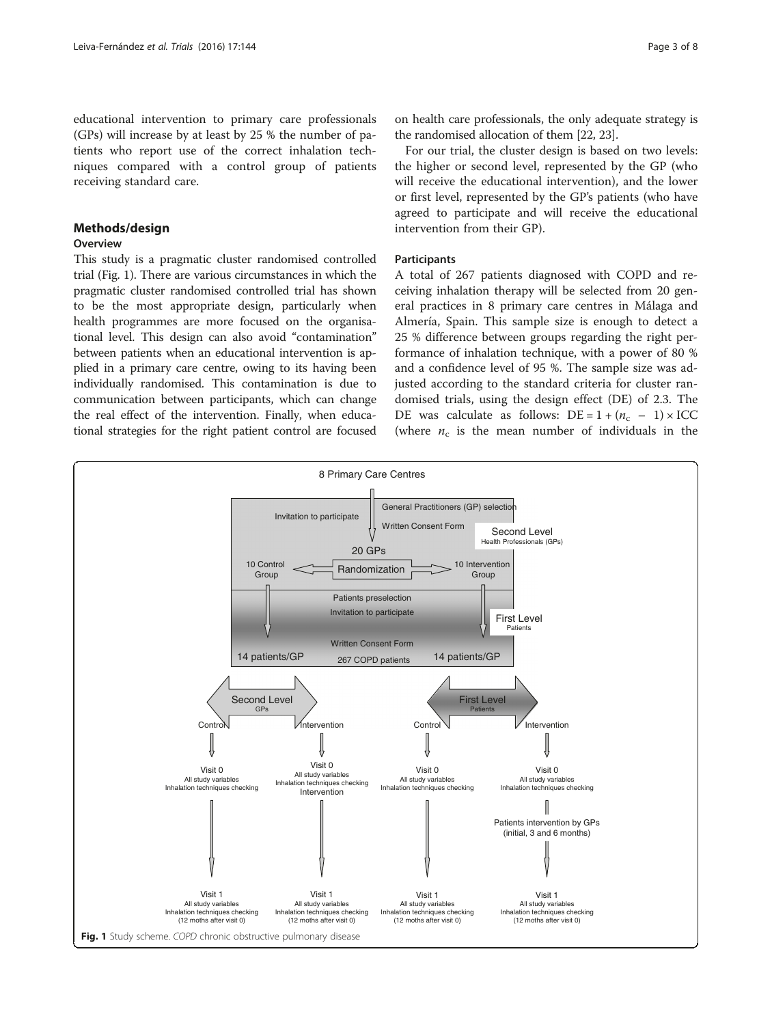educational intervention to primary care professionals (GPs) will increase by at least by 25 % the number of patients who report use of the correct inhalation techniques compared with a control group of patients receiving standard care.

#### Methods/design

#### **Overview**

This study is a pragmatic cluster randomised controlled trial (Fig. 1). There are various circumstances in which the pragmatic cluster randomised controlled trial has shown to be the most appropriate design, particularly when health programmes are more focused on the organisational level. This design can also avoid "contamination" between patients when an educational intervention is applied in a primary care centre, owing to its having been individually randomised. This contamination is due to communication between participants, which can change the real effect of the intervention. Finally, when educational strategies for the right patient control are focused on health care professionals, the only adequate strategy is the randomised allocation of them [\[22, 23\]](#page-7-0).

For our trial, the cluster design is based on two levels: the higher or second level, represented by the GP (who will receive the educational intervention), and the lower or first level, represented by the GP's patients (who have agreed to participate and will receive the educational intervention from their GP).

#### **Participants**

A total of 267 patients diagnosed with COPD and receiving inhalation therapy will be selected from 20 general practices in 8 primary care centres in Málaga and Almería, Spain. This sample size is enough to detect a 25 % difference between groups regarding the right performance of inhalation technique, with a power of 80 % and a confidence level of 95 %. The sample size was adjusted according to the standard criteria for cluster randomised trials, using the design effect (DE) of 2.3. The DE was calculate as follows: DE =  $1 + (n_c - 1) \times$  ICC (where  $n_c$  is the mean number of individuals in the

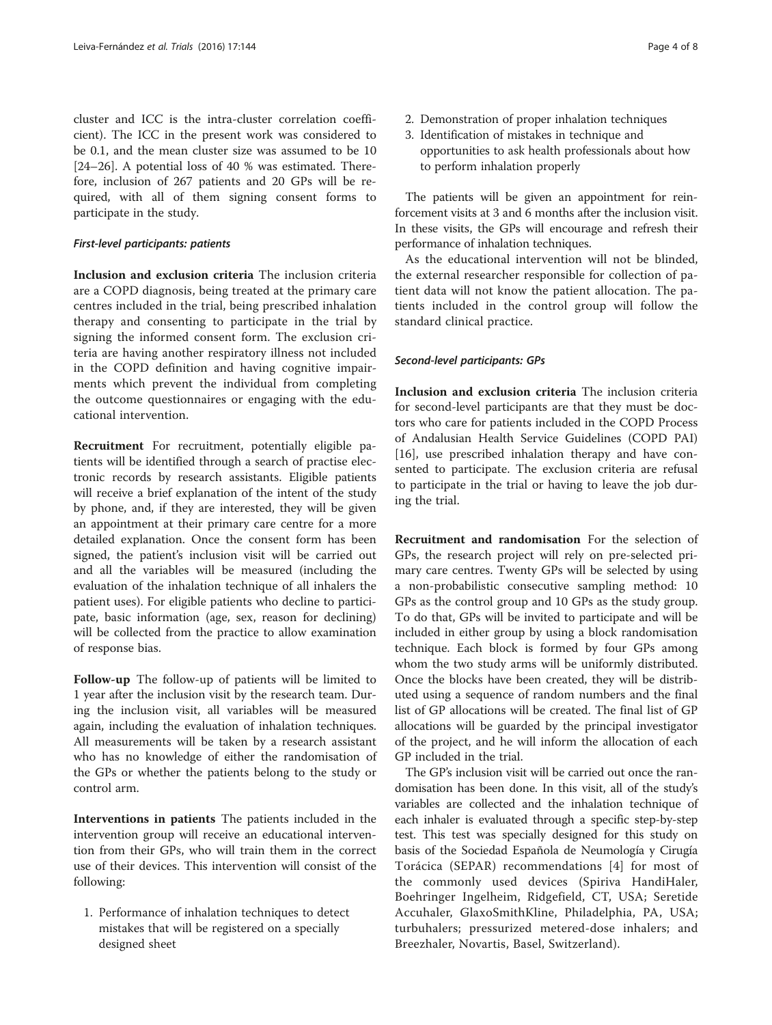cluster and ICC is the intra-cluster correlation coefficient). The ICC in the present work was considered to be 0.1, and the mean cluster size was assumed to be 10 [[24](#page-7-0)–[26](#page-7-0)]. A potential loss of 40 % was estimated. Therefore, inclusion of 267 patients and 20 GPs will be required, with all of them signing consent forms to participate in the study.

#### First-level participants: patients

Inclusion and exclusion criteria The inclusion criteria are a COPD diagnosis, being treated at the primary care centres included in the trial, being prescribed inhalation therapy and consenting to participate in the trial by signing the informed consent form. The exclusion criteria are having another respiratory illness not included in the COPD definition and having cognitive impairments which prevent the individual from completing the outcome questionnaires or engaging with the educational intervention.

Recruitment For recruitment, potentially eligible patients will be identified through a search of practise electronic records by research assistants. Eligible patients will receive a brief explanation of the intent of the study by phone, and, if they are interested, they will be given an appointment at their primary care centre for a more detailed explanation. Once the consent form has been signed, the patient's inclusion visit will be carried out and all the variables will be measured (including the evaluation of the inhalation technique of all inhalers the patient uses). For eligible patients who decline to participate, basic information (age, sex, reason for declining) will be collected from the practice to allow examination of response bias.

Follow-up The follow-up of patients will be limited to 1 year after the inclusion visit by the research team. During the inclusion visit, all variables will be measured again, including the evaluation of inhalation techniques. All measurements will be taken by a research assistant who has no knowledge of either the randomisation of the GPs or whether the patients belong to the study or control arm.

Interventions in patients The patients included in the intervention group will receive an educational intervention from their GPs, who will train them in the correct use of their devices. This intervention will consist of the following:

1. Performance of inhalation techniques to detect mistakes that will be registered on a specially designed sheet

- 2. Demonstration of proper inhalation techniques
- 3. Identification of mistakes in technique and opportunities to ask health professionals about how to perform inhalation properly

The patients will be given an appointment for reinforcement visits at 3 and 6 months after the inclusion visit. In these visits, the GPs will encourage and refresh their performance of inhalation techniques.

As the educational intervention will not be blinded, the external researcher responsible for collection of patient data will not know the patient allocation. The patients included in the control group will follow the standard clinical practice.

#### Second-level participants: GPs

Inclusion and exclusion criteria The inclusion criteria for second-level participants are that they must be doctors who care for patients included in the COPD Process of Andalusian Health Service Guidelines (COPD PAI) [[16\]](#page-6-0), use prescribed inhalation therapy and have consented to participate. The exclusion criteria are refusal to participate in the trial or having to leave the job during the trial.

Recruitment and randomisation For the selection of GPs, the research project will rely on pre-selected primary care centres. Twenty GPs will be selected by using a non-probabilistic consecutive sampling method: 10 GPs as the control group and 10 GPs as the study group. To do that, GPs will be invited to participate and will be included in either group by using a block randomisation technique. Each block is formed by four GPs among whom the two study arms will be uniformly distributed. Once the blocks have been created, they will be distributed using a sequence of random numbers and the final list of GP allocations will be created. The final list of GP allocations will be guarded by the principal investigator of the project, and he will inform the allocation of each GP included in the trial.

The GP's inclusion visit will be carried out once the randomisation has been done. In this visit, all of the study's variables are collected and the inhalation technique of each inhaler is evaluated through a specific step-by-step test. This test was specially designed for this study on basis of the Sociedad Española de Neumología y Cirugía Torácica (SEPAR) recommendations [\[4](#page-6-0)] for most of the commonly used devices (Spiriva HandiHaler, Boehringer Ingelheim, Ridgefield, CT, USA; Seretide Accuhaler, GlaxoSmithKline, Philadelphia, PA, USA; turbuhalers; pressurized metered-dose inhalers; and Breezhaler, Novartis, Basel, Switzerland).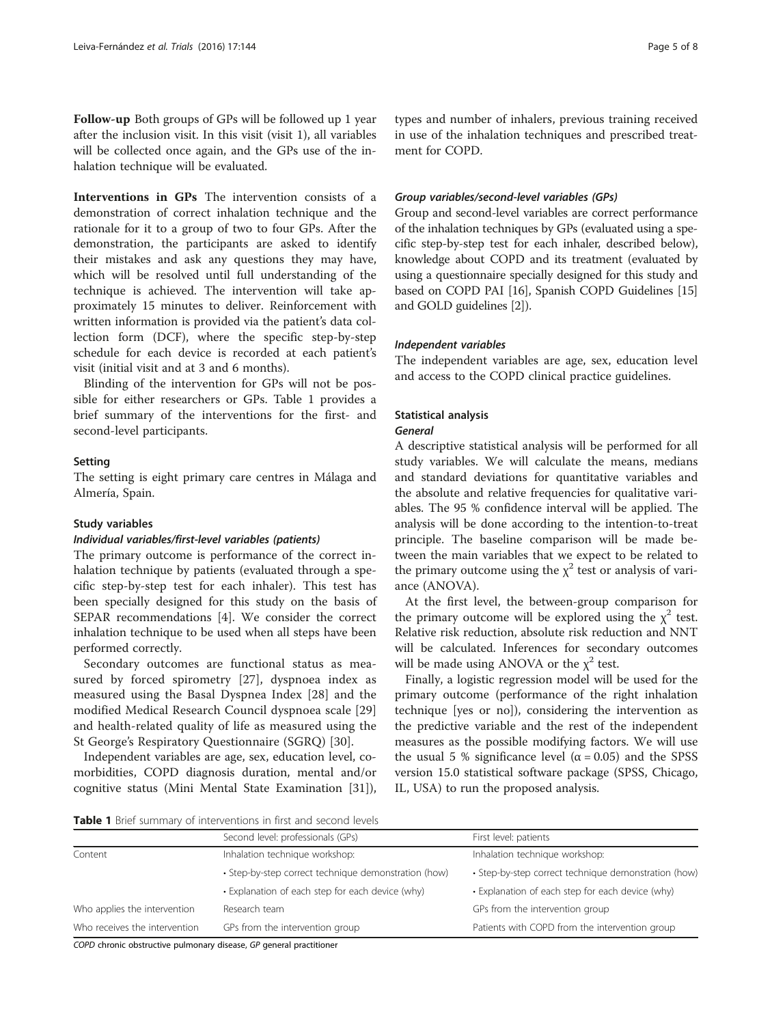Follow-up Both groups of GPs will be followed up 1 year after the inclusion visit. In this visit (visit 1), all variables will be collected once again, and the GPs use of the inhalation technique will be evaluated.

Interventions in GPs The intervention consists of a demonstration of correct inhalation technique and the rationale for it to a group of two to four GPs. After the demonstration, the participants are asked to identify their mistakes and ask any questions they may have, which will be resolved until full understanding of the technique is achieved. The intervention will take approximately 15 minutes to deliver. Reinforcement with written information is provided via the patient's data collection form (DCF), where the specific step-by-step schedule for each device is recorded at each patient's visit (initial visit and at 3 and 6 months).

Blinding of the intervention for GPs will not be possible for either researchers or GPs. Table 1 provides a brief summary of the interventions for the first- and second-level participants.

#### Setting

The setting is eight primary care centres in Málaga and Almería, Spain.

#### Study variables

#### Individual variables/first-level variables (patients)

The primary outcome is performance of the correct inhalation technique by patients (evaluated through a specific step-by-step test for each inhaler). This test has been specially designed for this study on the basis of SEPAR recommendations [\[4\]](#page-6-0). We consider the correct inhalation technique to be used when all steps have been performed correctly.

Secondary outcomes are functional status as mea-sured by forced spirometry [\[27](#page-7-0)], dyspnoea index as measured using the Basal Dyspnea Index [[28\]](#page-7-0) and the modified Medical Research Council dyspnoea scale [\[29](#page-7-0)] and health-related quality of life as measured using the St George's Respiratory Questionnaire (SGRQ) [[30\]](#page-7-0).

Independent variables are age, sex, education level, comorbidities, COPD diagnosis duration, mental and/or cognitive status (Mini Mental State Examination [\[31](#page-7-0)]),

types and number of inhalers, previous training received in use of the inhalation techniques and prescribed treatment for COPD.

#### Group variables/second-level variables (GPs)

Group and second-level variables are correct performance of the inhalation techniques by GPs (evaluated using a specific step-by-step test for each inhaler, described below), knowledge about COPD and its treatment (evaluated by using a questionnaire specially designed for this study and based on COPD PAI [\[16\]](#page-6-0), Spanish COPD Guidelines [[15](#page-6-0)] and GOLD guidelines [\[2](#page-6-0)]).

#### Independent variables

The independent variables are age, sex, education level and access to the COPD clinical practice guidelines.

#### Statistical analysis

#### General

A descriptive statistical analysis will be performed for all study variables. We will calculate the means, medians and standard deviations for quantitative variables and the absolute and relative frequencies for qualitative variables. The 95 % confidence interval will be applied. The analysis will be done according to the intention-to-treat principle. The baseline comparison will be made between the main variables that we expect to be related to the primary outcome using the  $\chi^2$  test or analysis of variance (ANOVA).

At the first level, the between-group comparison for the primary outcome will be explored using the  $\chi^2$  test. Relative risk reduction, absolute risk reduction and NNT will be calculated. Inferences for secondary outcomes will be made using ANOVA or the  $\chi^2$  test.

Finally, a logistic regression model will be used for the primary outcome (performance of the right inhalation technique [yes or no]), considering the intervention as the predictive variable and the rest of the independent measures as the possible modifying factors. We will use the usual 5 % significance level ( $α = 0.05$ ) and the SPSS version 15.0 statistical software package (SPSS, Chicago, IL, USA) to run the proposed analysis.

Table 1 Brief summary of interventions in first and second levels

|                               | Second level: professionals (GPs)                    | First level: patients                                |
|-------------------------------|------------------------------------------------------|------------------------------------------------------|
| Content                       | Inhalation technique workshop:                       | Inhalation technique workshop:                       |
|                               | • Step-by-step correct technique demonstration (how) | · Step-by-step correct technique demonstration (how) |
|                               | • Explanation of each step for each device (why)     | • Explanation of each step for each device (why)     |
| Who applies the intervention  | Research team                                        | GPs from the intervention group                      |
| Who receives the intervention | GPs from the intervention group                      | Patients with COPD from the intervention group       |
|                               |                                                      |                                                      |

COPD chronic obstructive pulmonary disease, GP general practitioner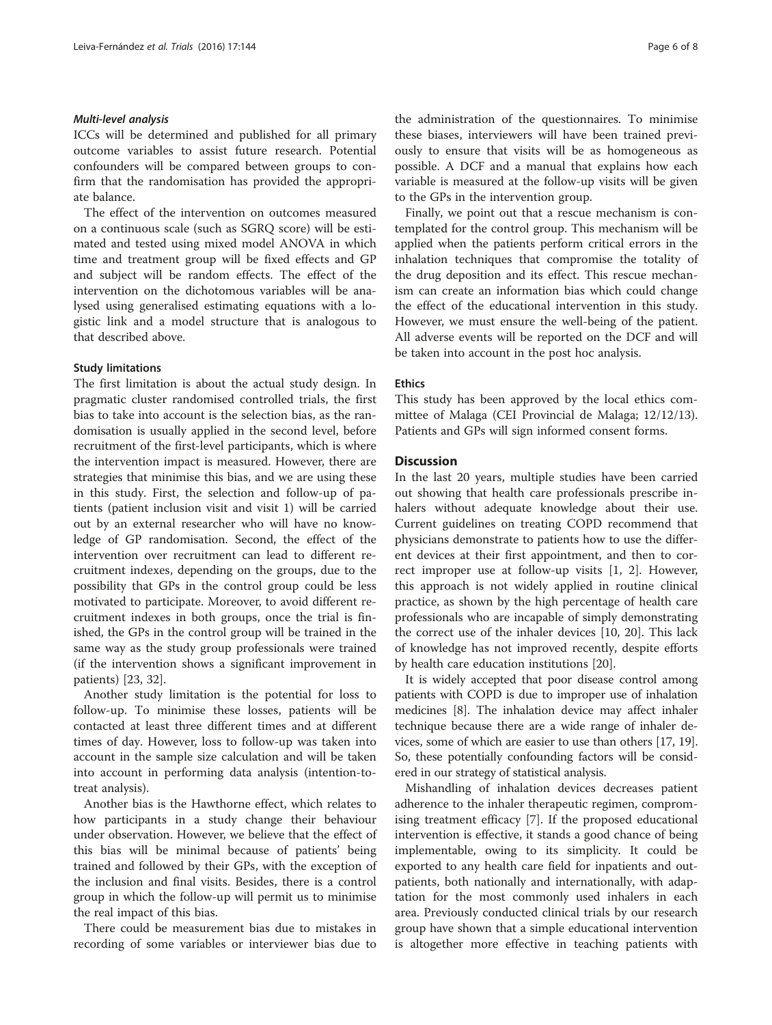#### Multi-level analysis

ICCs will be determined and published for all primary outcome variables to assist future research. Potential confounders will be compared between groups to confirm that the randomisation has provided the appropriate balance.

The effect of the intervention on outcomes measured on a continuous scale (such as SGRQ score) will be estimated and tested using mixed model ANOVA in which time and treatment group will be fixed effects and GP and subject will be random effects. The effect of the intervention on the dichotomous variables will be analysed using generalised estimating equations with a logistic link and a model structure that is analogous to that described above.

#### Study limitations

The first limitation is about the actual study design. In pragmatic cluster randomised controlled trials, the first bias to take into account is the selection bias, as the randomisation is usually applied in the second level, before recruitment of the first-level participants, which is where the intervention impact is measured. However, there are strategies that minimise this bias, and we are using these in this study. First, the selection and follow-up of patients (patient inclusion visit and visit 1) will be carried out by an external researcher who will have no knowledge of GP randomisation. Second, the effect of the intervention over recruitment can lead to different recruitment indexes, depending on the groups, due to the possibility that GPs in the control group could be less motivated to participate. Moreover, to avoid different recruitment indexes in both groups, once the trial is finished, the GPs in the control group will be trained in the same way as the study group professionals were trained (if the intervention shows a significant improvement in patients) [\[23, 32\]](#page-7-0).

Another study limitation is the potential for loss to follow-up. To minimise these losses, patients will be contacted at least three different times and at different times of day. However, loss to follow-up was taken into account in the sample size calculation and will be taken into account in performing data analysis (intention-totreat analysis).

Another bias is the Hawthorne effect, which relates to how participants in a study change their behaviour under observation. However, we believe that the effect of this bias will be minimal because of patients' being trained and followed by their GPs, with the exception of the inclusion and final visits. Besides, there is a control group in which the follow-up will permit us to minimise the real impact of this bias.

There could be measurement bias due to mistakes in recording of some variables or interviewer bias due to

the administration of the questionnaires. To minimise these biases, interviewers will have been trained previously to ensure that visits will be as homogeneous as possible. A DCF and a manual that explains how each variable is measured at the follow-up visits will be given to the GPs in the intervention group.

Finally, we point out that a rescue mechanism is contemplated for the control group. This mechanism will be applied when the patients perform critical errors in the inhalation techniques that compromise the totality of the drug deposition and its effect. This rescue mechanism can create an information bias which could change the effect of the educational intervention in this study. However, we must ensure the well-being of the patient. All adverse events will be reported on the DCF and will be taken into account in the post hoc analysis.

#### **Ethics**

This study has been approved by the local ethics committee of Malaga (CEI Provincial de Malaga; 12/12/13). Patients and GPs will sign informed consent forms.

#### **Discussion**

In the last 20 years, multiple studies have been carried out showing that health care professionals prescribe inhalers without adequate knowledge about their use. Current guidelines on treating COPD recommend that physicians demonstrate to patients how to use the different devices at their first appointment, and then to correct improper use at follow-up visits [\[1, 2](#page-6-0)]. However, this approach is not widely applied in routine clinical practice, as shown by the high percentage of health care professionals who are incapable of simply demonstrating the correct use of the inhaler devices [[10](#page-6-0), [20\]](#page-6-0). This lack of knowledge has not improved recently, despite efforts by health care education institutions [\[20\]](#page-6-0).

It is widely accepted that poor disease control among patients with COPD is due to improper use of inhalation medicines [[8\]](#page-6-0). The inhalation device may affect inhaler technique because there are a wide range of inhaler devices, some of which are easier to use than others [\[17, 19](#page-6-0)]. So, these potentially confounding factors will be considered in our strategy of statistical analysis.

Mishandling of inhalation devices decreases patient adherence to the inhaler therapeutic regimen, compromising treatment efficacy [[7\]](#page-6-0). If the proposed educational intervention is effective, it stands a good chance of being implementable, owing to its simplicity. It could be exported to any health care field for inpatients and outpatients, both nationally and internationally, with adaptation for the most commonly used inhalers in each area. Previously conducted clinical trials by our research group have shown that a simple educational intervention is altogether more effective in teaching patients with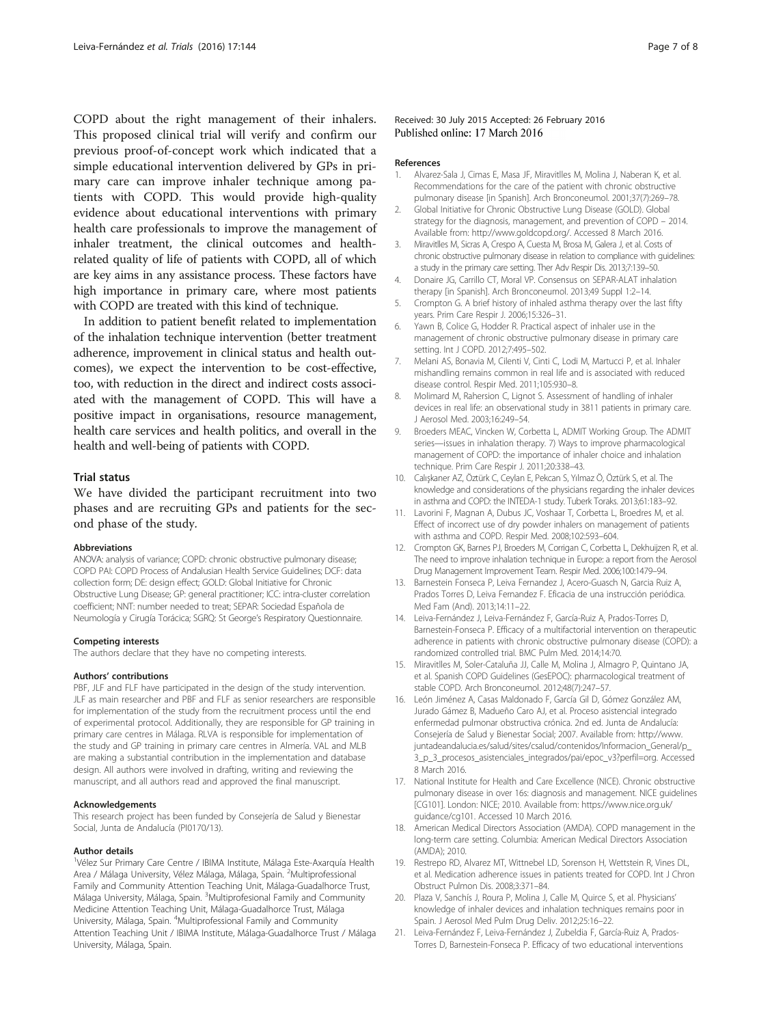<span id="page-6-0"></span>COPD about the right management of their inhalers. This proposed clinical trial will verify and confirm our previous proof-of-concept work which indicated that a simple educational intervention delivered by GPs in primary care can improve inhaler technique among patients with COPD. This would provide high-quality evidence about educational interventions with primary health care professionals to improve the management of inhaler treatment, the clinical outcomes and healthrelated quality of life of patients with COPD, all of which are key aims in any assistance process. These factors have high importance in primary care, where most patients with COPD are treated with this kind of technique.

In addition to patient benefit related to implementation of the inhalation technique intervention (better treatment adherence, improvement in clinical status and health outcomes), we expect the intervention to be cost-effective, too, with reduction in the direct and indirect costs associated with the management of COPD. This will have a positive impact in organisations, resource management, health care services and health politics, and overall in the health and well-being of patients with COPD.

#### Trial status

We have divided the participant recruitment into two phases and are recruiting GPs and patients for the second phase of the study.

#### Abbreviations

ANOVA: analysis of variance; COPD: chronic obstructive pulmonary disease; COPD PAI: COPD Process of Andalusian Health Service Guidelines; DCF: data collection form; DE: design effect; GOLD: Global Initiative for Chronic Obstructive Lung Disease; GP: general practitioner; ICC: intra-cluster correlation coefficient; NNT: number needed to treat; SEPAR: Sociedad Española de Neumología y Cirugía Torácica; SGRQ: St George's Respiratory Questionnaire.

#### Competing interests

The authors declare that they have no competing interests.

#### Authors' contributions

PBF, JLF and FLF have participated in the design of the study intervention. JLF as main researcher and PBF and FLF as senior researchers are responsible for implementation of the study from the recruitment process until the end of experimental protocol. Additionally, they are responsible for GP training in primary care centres in Málaga. RLVA is responsible for implementation of the study and GP training in primary care centres in Almería. VAL and MLB are making a substantial contribution in the implementation and database design. All authors were involved in drafting, writing and reviewing the manuscript, and all authors read and approved the final manuscript.

#### Acknowledgements

This research project has been funded by Consejería de Salud y Bienestar Social, Junta de Andalucía (PI0170/13).

#### Author details

<sup>1</sup>Vélez Sur Primary Care Centre / IBIMA Institute, Málaga Este-Axarquía Health Area / Málaga University, Vélez Málaga, Málaga, Spain. <sup>2</sup>Multiprofessional Family and Community Attention Teaching Unit, Málaga-Guadalhorce Trust, Málaga University, Málaga, Spain. <sup>3</sup>Multiprofesional Family and Community Medicine Attention Teaching Unit, Málaga-Guadalhorce Trust, Málaga University, Málaga, Spain. <sup>4</sup>Multiprofessional Family and Community Attention Teaching Unit / IBIMA Institute, Málaga-Guadalhorce Trust / Málaga University, Málaga, Spain.

#### Received: 30 July 2015 Accepted: 26 February 2016 Published online: 17 March 2016

#### References

- 1. Alvarez-Sala J, Cimas E, Masa JF, Miravitlles M, Molina J, Naberan K, et al. Recommendations for the care of the patient with chronic obstructive pulmonary disease [in Spanish]. Arch Bronconeumol. 2001;37(7):269–78.
- 2. Global Initiative for Chronic Obstructive Lung Disease (GOLD). Global strategy for the diagnosis, management, and prevention of COPD – 2014. Available from: [http://www.goldcopd.org/.](http://www.goldcopd.org/) Accessed 8 March 2016.
- 3. Miravitlles M, Sicras A, Crespo A, Cuesta M, Brosa M, Galera J, et al. Costs of chronic obstructive pulmonary disease in relation to compliance with guidelines: a study in the primary care setting. Ther Adv Respir Dis. 2013;7:139–50.
- 4. Donaire JG, Carrillo CT, Moral VP. Consensus on SEPAR-ALAT inhalation therapy [in Spanish]. Arch Bronconeumol. 2013;49 Suppl 1:2–14.
- 5. Crompton G. A brief history of inhaled asthma therapy over the last fifty years. Prim Care Respir J. 2006;15:326–31.
- 6. Yawn B, Colice G, Hodder R. Practical aspect of inhaler use in the management of chronic obstructive pulmonary disease in primary care setting. Int J COPD. 2012;7:495–502.
- 7. Melani AS, Bonavia M, Cilenti V, Cinti C, Lodi M, Martucci P, et al. Inhaler mishandling remains common in real life and is associated with reduced disease control. Respir Med. 2011;105:930–8.
- 8. Molimard M, Rahersion C, Lignot S. Assessment of handling of inhaler devices in real life: an observational study in 3811 patients in primary care. J Aerosol Med. 2003;16:249–54.
- 9. Broeders MEAC, Vincken W, Corbetta L, ADMIT Working Group. The ADMIT series—issues in inhalation therapy. 7) Ways to improve pharmacological management of COPD: the importance of inhaler choice and inhalation technique. Prim Care Respir J. 2011;20:338–43.
- 10. Calışkaner AZ, Öztürk C, Ceylan E, Pekcan S, Yılmaz Ö, Öztürk S, et al. The knowledge and considerations of the physicians regarding the inhaler devices in asthma and COPD: the INTEDA-1 study. Tuberk Toraks. 2013;61:183–92.
- 11. Lavorini F, Magnan A, Dubus JC, Voshaar T, Corbetta L, Broedres M, et al. Effect of incorrect use of dry powder inhalers on management of patients with asthma and COPD. Respir Med. 2008;102:593–604.
- 12. Crompton GK, Barnes PJ, Broeders M, Corrigan C, Corbetta L, Dekhuijzen R, et al. The need to improve inhalation technique in Europe: a report from the Aerosol Drug Management Improvement Team. Respir Med. 2006;100:1479–94.
- 13. Barnestein Fonseca P, Leiva Fernandez J, Acero-Guasch N, Garcia Ruiz A, Prados Torres D, Leiva Fernandez F. Eficacia de una instrucción periódica. Med Fam (And). 2013;14:11–22.
- 14. Leiva-Fernández J, Leiva-Fernández F, García-Ruiz A, Prados-Torres D, Barnestein-Fonseca P. Efficacy of a multifactorial intervention on therapeutic adherence in patients with chronic obstructive pulmonary disease (COPD): a randomized controlled trial. BMC Pulm Med. 2014;14:70.
- 15. Miravitlles M, Soler-Cataluña JJ, Calle M, Molina J, Almagro P, Quintano JA, et al. Spanish COPD Guidelines (GesEPOC): pharmacological treatment of stable COPD. Arch Bronconeumol. 2012;48(7):247–57.
- 16. León Jiménez A, Casas Maldonado F, García Gil D, Gómez González AM, Jurado Gámez B, Madueño Caro AJ, et al. Proceso asistencial integrado enfermedad pulmonar obstructiva crónica. 2nd ed. Junta de Andalucía: Consejería de Salud y Bienestar Social; 2007. Available from: [http://www.](http://www.juntadeandalucia.es/salud/sites/csalud/contenidos/Informacion_General/p_3_p_3_procesos_asistenciales_integrados/pai/epoc_v3?perfil=org) juntadeandalucia.es/salud/sites/csalud/contenidos/Informacion\_General/p [3\\_p\\_3\\_procesos\\_asistenciales\\_integrados/pai/epoc\\_v3?perfil=org.](http://www.juntadeandalucia.es/salud/sites/csalud/contenidos/Informacion_General/p_3_p_3_procesos_asistenciales_integrados/pai/epoc_v3?perfil=org) Accessed 8 March 2016.
- 17. National Institute for Health and Care Excellence (NICE). Chronic obstructive pulmonary disease in over 16s: diagnosis and management. NICE guidelines [CG101]. London: NICE; 2010. Available from: [https://www.nice.org.uk/](https://www.nice.org.uk/guidance/cg101) [guidance/cg101.](https://www.nice.org.uk/guidance/cg101) Accessed 10 March 2016.
- 18. American Medical Directors Association (AMDA). COPD management in the long-term care setting. Columbia: American Medical Directors Association (AMDA); 2010.
- 19. Restrepo RD, Alvarez MT, Wittnebel LD, Sorenson H, Wettstein R, Vines DL, et al. Medication adherence issues in patients treated for COPD. Int J Chron Obstruct Pulmon Dis. 2008;3:371–84.
- 20. Plaza V, Sanchís J, Roura P, Molina J, Calle M, Quirce S, et al. Physicians' knowledge of inhaler devices and inhalation techniques remains poor in Spain. J Aerosol Med Pulm Drug Deliv. 2012;25:16–22.
- 21. Leiva-Fernández F, Leiva-Fernández J, Zubeldia F, García-Ruiz A, Prados-Torres D, Barnestein-Fonseca P. Efficacy of two educational interventions